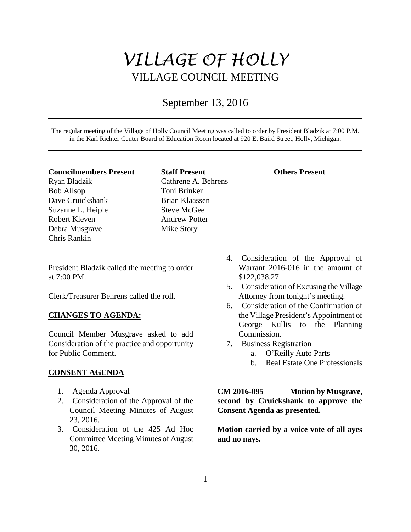# *VILLAGE OF HOLLY* VILLAGE COUNCIL MEETING

## September 13, 2016

The regular meeting of the Village of Holly Council Meeting was called to order by President Bladzik at 7:00 P.M. in the Karl Richter Center Board of Education Room located at 920 E. Baird Street, Holly, Michigan.

- **Councilmembers Present**
- Ryan Bladzik Bob Allsop Dave Cruickshank Suzanne L. Heiple Robert Kleven Debra Musgrave Chris Rankin

**Staff Present** Cathrene A. Behrens Toni Brinker Brian Klaassen Steve McGee Andrew Potter Mike Story

## **Others Present**

President Bladzik called the meeting to order at 7:00 PM.

Clerk/Treasurer Behrens called the roll.

## **CHANGES TO AGENDA:**

Council Member Musgrave asked to add Consideration of the practice and opportunity for Public Comment.

## **CONSENT AGENDA**

- 1. Agenda Approval
- 2. Consideration of the Approval of the Council Meeting Minutes of August 23, 2016.
- 3. Consideration of the 425 Ad Hoc Committee Meeting Minutes of August 30, 2016.
- 4. Consideration of the Approval of Warrant 2016-016 in the amount of \$122,038.27.
- 5. Consideration of Excusing the Village Attorney from tonight's meeting.
- 6. Consideration of the Confirmation of the Village President's Appointment of George Kullis to the Planning Commission.
- 7. Business Registration
	- a. O'Reilly Auto Parts
		- b. Real Estate One Professionals

**CM 2016-095 Motion by Musgrave, second by Cruickshank to approve the Consent Agenda as presented.** 

**Motion carried by a voice vote of all ayes and no nays.**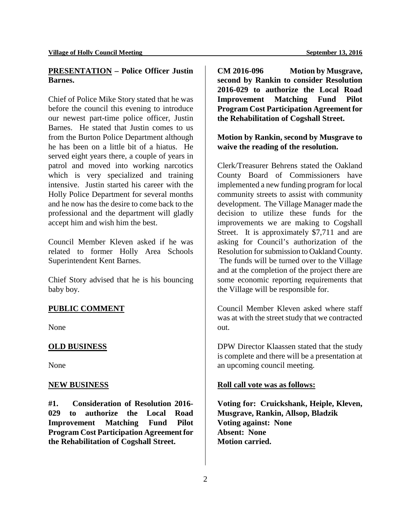## **PRESENTATION – Police Officer Justin Barnes.**

Chief of Police Mike Story stated that he was before the council this evening to introduce our newest part-time police officer, Justin Barnes. He stated that Justin comes to us from the Burton Police Department although he has been on a little bit of a hiatus. He served eight years there, a couple of years in patrol and moved into working narcotics which is very specialized and training intensive. Justin started his career with the Holly Police Department for several months and he now has the desire to come back to the professional and the department will gladly accept him and wish him the best.

Council Member Kleven asked if he was related to former Holly Area Schools Superintendent Kent Barnes.

Chief Story advised that he is his bouncing baby boy.

## **PUBLIC COMMENT**

None

#### **OLD BUSINESS**

None

#### **NEW BUSINESS**

**#1. Consideration of Resolution 2016- 029 to authorize the Local Road Improvement Matching Fund Pilot Program Cost Participation Agreement for the Rehabilitation of Cogshall Street.** 

**CM 2016-096 Motion by Musgrave, second by Rankin to consider Resolution 2016-029 to authorize the Local Road Improvement Matching Fund Pilot Program Cost Participation Agreement for the Rehabilitation of Cogshall Street.** 

**Motion by Rankin, second by Musgrave to waive the reading of the resolution.** 

Clerk/Treasurer Behrens stated the Oakland County Board of Commissioners have implemented a new funding program for local community streets to assist with community development. The Village Manager made the decision to utilize these funds for the improvements we are making to Cogshall Street. It is approximately \$7,711 and are asking for Council's authorization of the Resolution for submission to Oakland County. The funds will be turned over to the Village and at the completion of the project there are some economic reporting requirements that the Village will be responsible for.

Council Member Kleven asked where staff was at with the street study that we contracted out.

DPW Director Klaassen stated that the study is complete and there will be a presentation at an upcoming council meeting.

#### **Roll call vote was as follows:**

**Voting for: Cruickshank, Heiple, Kleven, Musgrave, Rankin, Allsop, Bladzik Voting against: None Absent: None Motion carried.**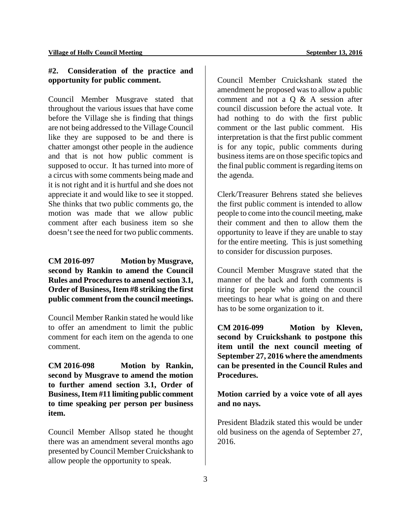## **#2. Consideration of the practice and opportunity for public comment.**

Council Member Musgrave stated that throughout the various issues that have come before the Village she is finding that things are not being addressed to the Village Council like they are supposed to be and there is chatter amongst other people in the audience and that is not how public comment is supposed to occur. It has turned into more of a circus with some comments being made and it is not right and it is hurtful and she does not appreciate it and would like to see it stopped. She thinks that two public comments go, the motion was made that we allow public comment after each business item so she doesn't see the need for two public comments.

## **CM 2016-097 Motion by Musgrave, second by Rankin to amend the Council**  Rules and Procedures to amend section 3.1, **Order of Business, Item #8 striking the first public comment from the council meetings.**

Council Member Rankin stated he would like to offer an amendment to limit the public comment for each item on the agenda to one comment.

**CM 2016-098 Motion by Rankin, second by Musgrave to amend the motion to further amend section 3.1, Order of Business, Item #11 limiting public comment to time speaking per person per business item.** 

Council Member Allsop stated he thought there was an amendment several months ago presented by Council Member Cruickshank to allow people the opportunity to speak.

Council Member Cruickshank stated the amendment he proposed was to allow a public comment and not a Q & A session after council discussion before the actual vote. It had nothing to do with the first public comment or the last public comment. His interpretation is that the first public comment is for any topic, public comments during business items are on those specific topics and the final public comment is regarding items on the agenda.

Clerk/Treasurer Behrens stated she believes the first public comment is intended to allow people to come into the council meeting, make their comment and then to allow them the opportunity to leave if they are unable to stay for the entire meeting. This is just something to consider for discussion purposes.

Council Member Musgrave stated that the manner of the back and forth comments is tiring for people who attend the council meetings to hear what is going on and there has to be some organization to it.

**CM 2016-099 Motion by Kleven, second by Cruickshank to postpone this item until the next council meeting of September 27, 2016 where the amendments can be presented in the Council Rules and Procedures.** 

**Motion carried by a voice vote of all ayes and no nays.** 

President Bladzik stated this would be under old business on the agenda of September 27, 2016.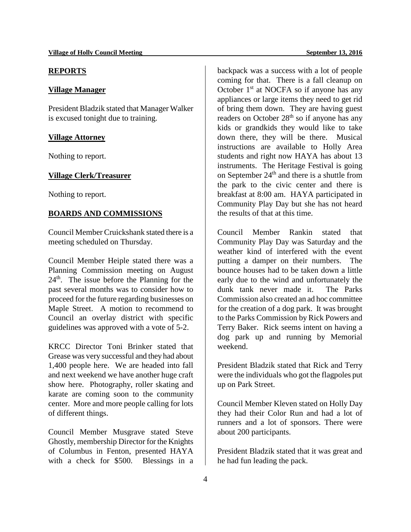#### **REPORTS**

## **Village Manager**

President Bladzik stated that Manager Walker is excused tonight due to training.

## **Village Attorney**

Nothing to report.

## **Village Clerk/Treasurer**

Nothing to report.

## **BOARDS AND COMMISSIONS**

Council Member Cruickshank stated there is a meeting scheduled on Thursday.

Council Member Heiple stated there was a Planning Commission meeting on August  $24<sup>th</sup>$ . The issue before the Planning for the past several months was to consider how to proceed for the future regarding businesses on Maple Street. A motion to recommend to Council an overlay district with specific guidelines was approved with a vote of 5-2.

KRCC Director Toni Brinker stated that Grease was very successful and they had about 1,400 people here. We are headed into fall and next weekend we have another huge craft show here. Photography, roller skating and karate are coming soon to the community center. More and more people calling for lots of different things.

Council Member Musgrave stated Steve Ghostly, membership Director for the Knights of Columbus in Fenton, presented HAYA with a check for \$500. Blessings in a

backpack was a success with a lot of people coming for that. There is a fall cleanup on October  $1<sup>st</sup>$  at NOCFA so if anyone has any appliances or large items they need to get rid of bring them down. They are having guest readers on October  $28<sup>th</sup>$  so if anyone has any kids or grandkids they would like to take down there, they will be there. Musical instructions are available to Holly Area students and right now HAYA has about 13 instruments. The Heritage Festival is going on September  $24<sup>th</sup>$  and there is a shuttle from the park to the civic center and there is breakfast at 8:00 am. HAYA participated in Community Play Day but she has not heard

Council Member Rankin stated that Community Play Day was Saturday and the weather kind of interfered with the event putting a damper on their numbers. The bounce houses had to be taken down a little early due to the wind and unfortunately the dunk tank never made it. The Parks Commission also created an ad hoc committee for the creation of a dog park. It was brought to the Parks Commission by Rick Powers and Terry Baker. Rick seems intent on having a dog park up and running by Memorial weekend.

the results of that at this time.

President Bladzik stated that Rick and Terry were the individuals who got the flagpoles put up on Park Street.

Council Member Kleven stated on Holly Day they had their Color Run and had a lot of runners and a lot of sponsors. There were about 200 participants.

President Bladzik stated that it was great and he had fun leading the pack.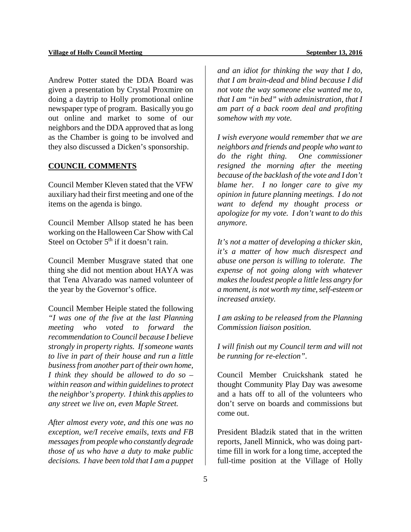Andrew Potter stated the DDA Board was given a presentation by Crystal Proxmire on doing a daytrip to Holly promotional online newspaper type of program. Basically you go out online and market to some of our neighbors and the DDA approved that as long as the Chamber is going to be involved and they also discussed a Dicken's sponsorship.

## **COUNCIL COMMENTS**

Council Member Kleven stated that the VFW auxiliary had their first meeting and one of the items on the agenda is bingo.

Council Member Allsop stated he has been working on the Halloween Car Show with Cal Steel on October  $5<sup>th</sup>$  if it doesn't rain.

Council Member Musgrave stated that one thing she did not mention about HAYA was that Tena Alvarado was named volunteer of the year by the Governor's office.

Council Member Heiple stated the following *"I was one of the five at the last Planning meeting who voted to forward the recommendation to Council because I believe strongly in property rights. If someone wants to live in part of their house and run a little businessfrom another part of their own home, I think they should be allowed to do so – within reason and within guidelines to protect the neighbor's property. I think this applies to any street we live on, even Maple Street.* 

*After almost every vote, and this one was no exception, we/I receive emails, texts and FB messages from people who constantly degrade those of us who have a duty to make public decisions. I have been told that I am a puppet*  *and an idiot for thinking the way that I do, that I am brain-dead and blind because I did not vote the way someone else wanted me to, that I am "in bed" with administration, that I am part of a back room deal and profiting somehow with my vote.*

*I wish everyone would remember that we are neighbors and friends and people who want to do the right thing. One commissioner resigned the morning after the meeting because of the backlash of the vote and I don't blame her. I no longer care to give my opinion in future planning meetings. I do not want to defend my thought process or apologize for my vote. I don't want to do this anymore.* 

*It's not a matter of developing a thicker skin, it's a matter of how much disrespect and abuse one person is willing to tolerate. The expense of not going along with whatever makes the loudest people a little less angry for a moment, is not worth my time, self-esteem or increased anxiety.* 

*I am asking to be released from the Planning Commission liaison position.*

*I will finish out my Council term and will not be running for re-election".* 

Council Member Cruickshank stated he thought Community Play Day was awesome and a hats off to all of the volunteers who don't serve on boards and commissions but come out.

President Bladzik stated that in the written reports, Janell Minnick, who was doing parttime fill in work for a long time, accepted the full-time position at the Village of Holly